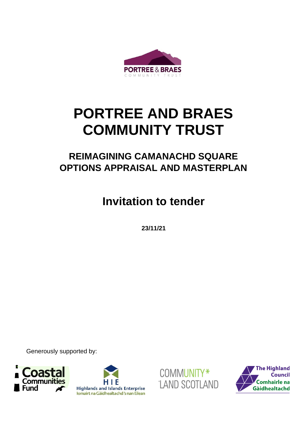

# **PORTREE AND BRAES COMMUNITY TRUST**

# **REIMAGINING CAMANACHD SQUARE OPTIONS APPRAISAL AND MASTERPLAN**

**Invitation to tender**

**23/11/21**

Generously supported by:







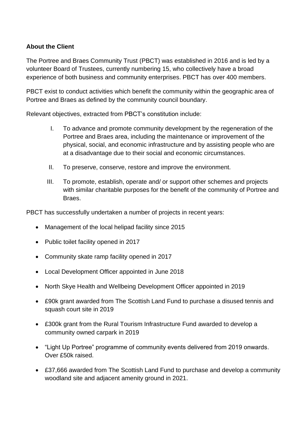# **About the Client**

The Portree and Braes Community Trust (PBCT) was established in 2016 and is led by a volunteer Board of Trustees, currently numbering 15, who collectively have a broad experience of both business and community enterprises. PBCT has over 400 members.

PBCT exist to conduct activities which benefit the community within the geographic area of Portree and Braes as defined by the community council boundary.

Relevant objectives, extracted from PBCT's constitution include:

- I. To advance and promote community development by the regeneration of the Portree and Braes area, including the maintenance or improvement of the physical, social, and economic infrastructure and by assisting people who are at a disadvantage due to their social and economic circumstances.
- II. To preserve, conserve, restore and improve the environment.
- III. To promote, establish, operate and/ or support other schemes and projects with similar charitable purposes for the benefit of the community of Portree and Braes.

PBCT has successfully undertaken a number of projects in recent years:

- Management of the local helipad facility since 2015
- Public toilet facility opened in 2017
- Community skate ramp facility opened in 2017
- Local Development Officer appointed in June 2018
- North Skye Health and Wellbeing Development Officer appointed in 2019
- £90k grant awarded from The Scottish Land Fund to purchase a disused tennis and squash court site in 2019
- £300k grant from the Rural Tourism Infrastructure Fund awarded to develop a community owned carpark in 2019
- "Light Up Portree" programme of community events delivered from 2019 onwards. Over £50k raised.
- £37,666 awarded from The Scottish Land Fund to purchase and develop a community woodland site and adjacent amenity ground in 2021.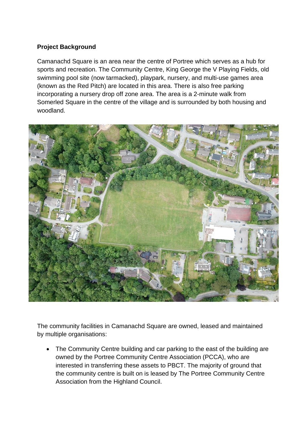# **Project Background**

Camanachd Square is an area near the centre of Portree which serves as a hub for sports and recreation. The Community Centre, King George the V Playing Fields, old swimming pool site (now tarmacked), playpark, nursery, and multi-use games area (known as the Red Pitch) are located in this area. There is also free parking incorporating a nursery drop off zone area. The area is a 2-minute walk from Somerled Square in the centre of the village and is surrounded by both housing and woodland.



The community facilities in Camanachd Square are owned, leased and maintained by multiple organisations:

• The Community Centre building and car parking to the east of the building are owned by the Portree Community Centre Association (PCCA), who are interested in transferring these assets to PBCT. The majority of ground that the community centre is built on is leased by The Portree Community Centre Association from the Highland Council.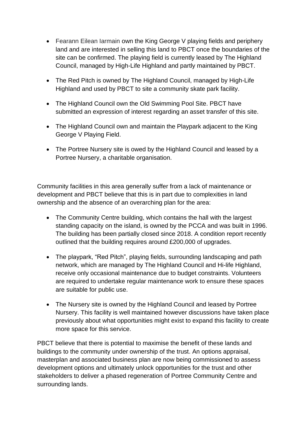- Fearann Eilean Iarmain own the King George V playing fields and periphery land and are interested in selling this land to PBCT once the boundaries of the site can be confirmed. The playing field is currently leased by The Highland Council, managed by High-Life Highland and partly maintained by PBCT.
- The Red Pitch is owned by The Highland Council, managed by High-Life Highland and used by PBCT to site a community skate park facility.
- The Highland Council own the Old Swimming Pool Site. PBCT have submitted an expression of interest regarding an asset transfer of this site.
- The Highland Council own and maintain the Playpark adjacent to the King George V Playing Field.
- The Portree Nursery site is owed by the Highland Council and leased by a Portree Nursery, a charitable organisation.

Community facilities in this area generally suffer from a lack of maintenance or development and PBCT believe that this is in part due to complexities in land ownership and the absence of an overarching plan for the area:

- The Community Centre building, which contains the hall with the largest standing capacity on the island, is owned by the PCCA and was built in 1996. The building has been partially closed since 2018. A condition report recently outlined that the building requires around £200,000 of upgrades.
- The playpark, "Red Pitch", playing fields, surrounding landscaping and path network, which are managed by The Highland Council and Hi-life Highland, receive only occasional maintenance due to budget constraints. Volunteers are required to undertake regular maintenance work to ensure these spaces are suitable for public use.
- The Nursery site is owned by the Highland Council and leased by Portree Nursery. This facility is well maintained however discussions have taken place previously about what opportunities might exist to expand this facility to create more space for this service.

PBCT believe that there is potential to maximise the benefit of these lands and buildings to the community under ownership of the trust. An options appraisal, masterplan and associated business plan are now being commissioned to assess development options and ultimately unlock opportunities for the trust and other stakeholders to deliver a phased regeneration of Portree Community Centre and surrounding lands.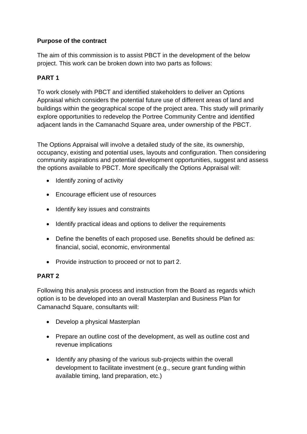# **Purpose of the contract**

The aim of this commission is to assist PBCT in the development of the below project. This work can be broken down into two parts as follows:

# **PART 1**

To work closely with PBCT and identified stakeholders to deliver an Options Appraisal which considers the potential future use of different areas of land and buildings within the geographical scope of the project area. This study will primarily explore opportunities to redevelop the Portree Community Centre and identified adjacent lands in the Camanachd Square area, under ownership of the PBCT.

The Options Appraisal will involve a detailed study of the site, its ownership, occupancy, existing and potential uses, layouts and configuration. Then considering community aspirations and potential development opportunities, suggest and assess the options available to PBCT. More specifically the Options Appraisal will:

- Identify zoning of activity
- Encourage efficient use of resources
- Identify key issues and constraints
- Identify practical ideas and options to deliver the requirements
- Define the benefits of each proposed use. Benefits should be defined as: financial, social, economic, environmental
- Provide instruction to proceed or not to part 2.

#### **PART 2**

Following this analysis process and instruction from the Board as regards which option is to be developed into an overall Masterplan and Business Plan for Camanachd Square, consultants will:

- Develop a physical Masterplan
- Prepare an outline cost of the development, as well as outline cost and revenue implications
- Identify any phasing of the various sub-projects within the overall development to facilitate investment (e.g., secure grant funding within available timing, land preparation, etc.)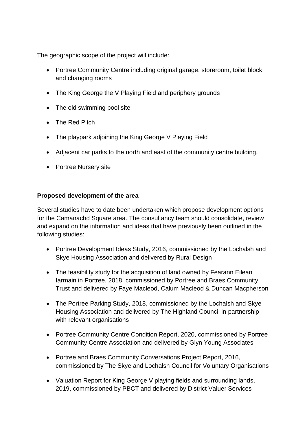The geographic scope of the project will include:

- Portree Community Centre including original garage, storeroom, toilet block and changing rooms
- The King George the V Playing Field and periphery grounds
- The old swimming pool site
- The Red Pitch
- The playpark adjoining the King George V Playing Field
- Adjacent car parks to the north and east of the community centre building.
- Portree Nursery site

# **Proposed development of the area**

Several studies have to date been undertaken which propose development options for the Camanachd Square area. The consultancy team should consolidate, review and expand on the information and ideas that have previously been outlined in the following studies:

- Portree Development Ideas Study, 2016, commissioned by the Lochalsh and Skye Housing Association and delivered by Rural Design
- The feasibility study for the acquisition of land owned by Fearann Eilean Iarmain in Portree, 2018, commissioned by Portree and Braes Community Trust and delivered by Faye Macleod, Calum Macleod & Duncan Macpherson
- The Portree Parking Study, 2018, commissioned by the Lochalsh and Skye Housing Association and delivered by The Highland Council in partnership with relevant organisations
- Portree Community Centre Condition Report, 2020, commissioned by Portree Community Centre Association and delivered by Glyn Young Associates
- Portree and Braes Community Conversations Project Report, 2016, commissioned by The Skye and Lochalsh Council for Voluntary Organisations
- Valuation Report for King George V playing fields and surrounding lands, 2019, commissioned by PBCT and delivered by District Valuer Services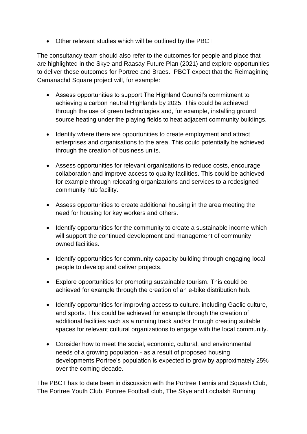• Other relevant studies which will be outlined by the PBCT

The consultancy team should also refer to the outcomes for people and place that are highlighted in the Skye and Raasay Future Plan (2021) and explore opportunities to deliver these outcomes for Portree and Braes. PBCT expect that the Reimagining Camanachd Square project will, for example:

- Assess opportunities to support The Highland Council's commitment to achieving a carbon neutral Highlands by 2025. This could be achieved through the use of green technologies and, for example, installing ground source heating under the playing fields to heat adjacent community buildings.
- Identify where there are opportunities to create employment and attract enterprises and organisations to the area. This could potentially be achieved through the creation of business units.
- Assess opportunities for relevant organisations to reduce costs, encourage collaboration and improve access to quality facilities. This could be achieved for example through relocating organizations and services to a redesigned community hub facility.
- Assess opportunities to create additional housing in the area meeting the need for housing for key workers and others.
- Identify opportunities for the community to create a sustainable income which will support the continued development and management of community owned facilities.
- Identify opportunities for community capacity building through engaging local people to develop and deliver projects.
- Explore opportunities for promoting sustainable tourism. This could be achieved for example through the creation of an e-bike distribution hub.
- Identify opportunities for improving access to culture, including Gaelic culture, and sports. This could be achieved for example through the creation of additional facilities such as a running track and/or through creating suitable spaces for relevant cultural organizations to engage with the local community.
- Consider how to meet the social, economic, cultural, and environmental needs of a growing population - as a result of proposed housing developments Portree's population is expected to grow by approximately 25% over the coming decade.

The PBCT has to date been in discussion with the Portree Tennis and Squash Club, The Portree Youth Club, Portree Football club, The Skye and Lochalsh Running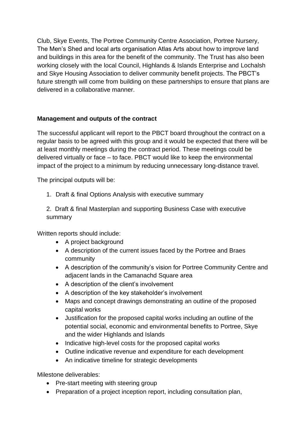Club, Skye Events, The Portree Community Centre Association, Portree Nursery, The Men's Shed and local arts organisation Atlas Arts about how to improve land and buildings in this area for the benefit of the community. The Trust has also been working closely with the local Council, Highlands & Islands Enterprise and Lochalsh and Skye Housing Association to deliver community benefit projects. The PBCT's future strength will come from building on these partnerships to ensure that plans are delivered in a collaborative manner.

# **Management and outputs of the contract**

The successful applicant will report to the PBCT board throughout the contract on a regular basis to be agreed with this group and it would be expected that there will be at least monthly meetings during the contract period. These meetings could be delivered virtually or face – to face. PBCT would like to keep the environmental impact of the project to a minimum by reducing unnecessary long-distance travel.

The principal outputs will be:

1. Draft & final Options Analysis with executive summary

2. Draft & final Masterplan and supporting Business Case with executive summary

Written reports should include:

- A project background
- A description of the current issues faced by the Portree and Braes community
- A description of the community's vision for Portree Community Centre and adiacent lands in the Camanachd Square area
- A description of the client's involvement
- A description of the key stakeholder's involvement
- Maps and concept drawings demonstrating an outline of the proposed capital works
- Justification for the proposed capital works including an outline of the potential social, economic and environmental benefits to Portree, Skye and the wider Highlands and Islands
- Indicative high-level costs for the proposed capital works
- Outline indicative revenue and expenditure for each development
- An indicative timeline for strategic developments

Milestone deliverables:

- Pre-start meeting with steering group
- Preparation of a project inception report, including consultation plan,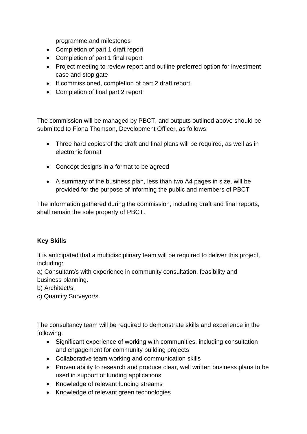programme and milestones

- Completion of part 1 draft report
- Completion of part 1 final report
- Project meeting to review report and outline preferred option for investment case and stop gate
- If commissioned, completion of part 2 draft report
- Completion of final part 2 report

The commission will be managed by PBCT, and outputs outlined above should be submitted to Fiona Thomson, Development Officer, as follows:

- Three hard copies of the draft and final plans will be required, as well as in electronic format
- Concept designs in a format to be agreed
- A summary of the business plan, less than two A4 pages in size, will be provided for the purpose of informing the public and members of PBCT

The information gathered during the commission, including draft and final reports, shall remain the sole property of PBCT.

#### **Key Skills**

It is anticipated that a multidisciplinary team will be required to deliver this project, including:

a) Consultant/s with experience in community consultation. feasibility and business planning.

b) Architect/s.

c) Quantity Surveyor/s.

The consultancy team will be required to demonstrate skills and experience in the following:

- Significant experience of working with communities, including consultation and engagement for community building projects
- Collaborative team working and communication skills
- Proven ability to research and produce clear, well written business plans to be used in support of funding applications
- Knowledge of relevant funding streams
- Knowledge of relevant green technologies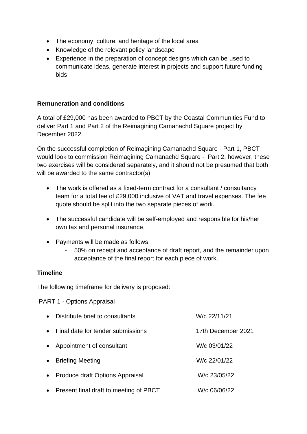- The economy, culture, and heritage of the local area
- Knowledge of the relevant policy landscape
- Experience in the preparation of concept designs which can be used to communicate ideas, generate interest in projects and support future funding bids

#### **Remuneration and conditions**

A total of £29,000 has been awarded to PBCT by the Coastal Communities Fund to deliver Part 1 and Part 2 of the Reimagining Camanachd Square project by December 2022.

On the successful completion of Reimagining Camanachd Square - Part 1, PBCT would look to commission Reimagining Camanachd Square - Part 2, however, these two exercises will be considered separately, and it should not be presumed that both will be awarded to the same contractor(s).

- The work is offered as a fixed-term contract for a consultant / consultancy team for a total fee of £29,000 inclusive of VAT and travel expenses. The fee quote should be split into the two separate pieces of work.
- The successful candidate will be self-employed and responsible for his/her own tax and personal insurance.
- Payments will be made as follows:
	- 50% on receipt and acceptance of draft report, and the remainder upon acceptance of the final report for each piece of work.

#### **Timeline**

The following timeframe for delivery is proposed:

PART 1 - Options Appraisal

| $\bullet$ | Distribute brief to consultants        | W/c 22/11/21       |
|-----------|----------------------------------------|--------------------|
| $\bullet$ | Final date for tender submissions      | 17th December 2021 |
| $\bullet$ | Appointment of consultant              | W/c 03/01/22       |
| $\bullet$ | <b>Briefing Meeting</b>                | W/c 22/01/22       |
| $\bullet$ | Produce draft Options Appraisal        | W/c 23/05/22       |
| $\bullet$ | Present final draft to meeting of PBCT | W/c 06/06/22       |